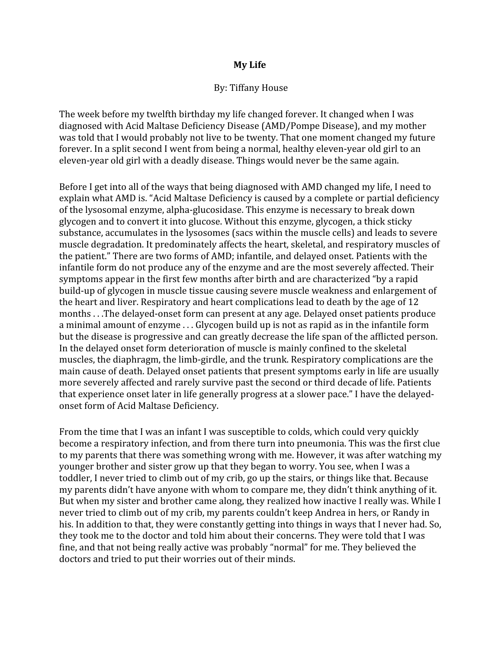## **My Life**

## By: Tiffany House

The week before my twelfth birthday my life changed forever. It changed when I was diagnosed with Acid Maltase Deficiency Disease (AMD/Pompe Disease), and my mother was told that I would probably not live to be twenty. That one moment changed my future forever. In a split second I went from being a normal, healthy eleven-year old girl to an eleven‐year old girl with a deadly disease. Things would never be the same again.

Before I get into all of the ways that being diagnosed with AMD changed my life, I need to explain what AMD is. "Acid Maltase Deficiency is caused by a complete or partial deficiency of the lysosomal enzyme, alpha‐glucosidase. This enzyme is necessary to break down glycogen and to convert it into glucose. Without this enzyme, glycogen, a thick sticky substance, accumulates in the lysosomes (sacs within the muscle cells) and leads to severe muscle degradation. It predominately affects the heart, skeletal, and respiratory muscles of the patient." There are two forms of AMD; infantile, and delayed onset. Patients with the infantile form do not produce any of the enzyme and are the most severely affected. Their symptoms appear in the first few months after birth and are characterized "by a rapid build‐up of glycogen in muscle tissue causing severe muscle weakness and enlargement of the heart and liver. Respiratory and heart complications lead to death by the age of 12 months . . .The delayed‐onset form can present at any age. Delayed onset patients produce a minimal amount of enzyme . . . Glycogen build up is not as rapid as in the infantile form but the disease is progressive and can greatly decrease the life span of the afflicted person. In the delayed onset form deterioration of muscle is mainly confined to the skeletal muscles, the diaphragm, the limb‐girdle, and the trunk. Respiratory complications are the main cause of death. Delayed onset patients that present symptoms early in life are usually more severely affected and rarely survive past the second or third decade of life. Patients that experience onset later in life generally progress at a slower pace." I have the delayed‐ onset form of Acid Maltase Deficiency.

From the time that I was an infant I was susceptible to colds, which could very quickly become a respiratory infection, and from there turn into pneumonia. This was the first clue to my parents that there was something wrong with me. However, it was after watching my younger brother and sister grow up that they began to worry. You see, when I was a toddler, I never tried to climb out of my crib, go up the stairs, or things like that. Because my parents didn't have anyone with whom to compare me, they didn't think anything of it. But when my sister and brother came along, they realized how inactive I really was. While I never tried to climb out of my crib, my parents couldn't keep Andrea in hers, or Randy in his. In addition to that, they were constantly getting into things in ways that I never had. So, they took me to the doctor and told him about their concerns. They were told that I was fine, and that not being really active was probably "normal" for me. They believed the doctors and tried to put their worries out of their minds.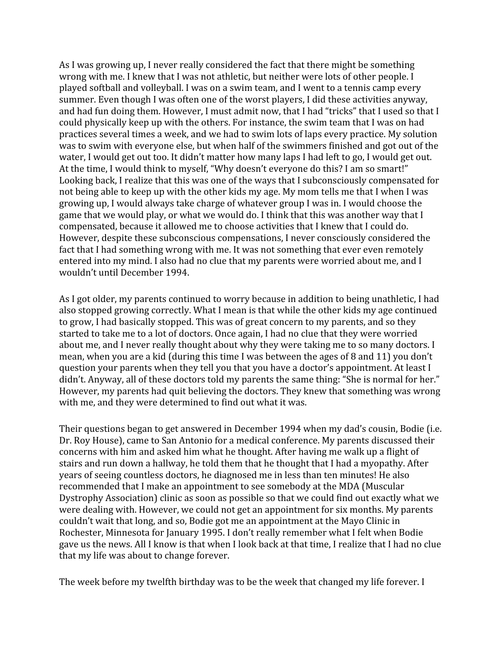As I was growing up, I never really considered the fact that there might be something wrong with me. I knew that I was not athletic, but neither were lots of other people. I played softball and volleyball. I was on a swim team, and I went to a tennis camp every summer. Even though I was often one of the worst players, I did these activities anyway, and had fun doing them. However, I must admit now, that I had "tricks" that I used so that I could physically keep up with the others. For instance, the swim team that I was on had practices several times a week, and we had to swim lots of laps every practice. My solution was to swim with everyone else, but when half of the swimmers finished and got out of the water, I would get out too. It didn't matter how many laps I had left to go, I would get out. At the time, I would think to myself, "Why doesn't everyone do this? I am so smart!" Looking back, I realize that this was one of the ways that I subconsciously compensated for not being able to keep up with the other kids my age. My mom tells me that I when I was growing up, I would always take charge of whatever group I was in. I would choose the game that we would play, or what we would do. I think that this was another way that I compensated, because it allowed me to choose activities that I knew that I could do. However, despite these subconscious compensations, I never consciously considered the fact that I had something wrong with me. It was not something that ever even remotely entered into my mind. I also had no clue that my parents were worried about me, and I wouldn't until December 1994.

As I got older, my parents continued to worry because in addition to being unathletic, I had also stopped growing correctly. What I mean is that while the other kids my age continued to grow, I had basically stopped. This was of great concern to my parents, and so they started to take me to a lot of doctors. Once again, I had no clue that they were worried about me, and I never really thought about why they were taking me to so many doctors. I mean, when you are a kid (during this time I was between the ages of 8 and 11) you don't question your parents when they tell you that you have a doctor's appointment. At least I didn't. Anyway, all of these doctors told my parents the same thing: "She is normal for her." However, my parents had quit believing the doctors. They knew that something was wrong with me, and they were determined to find out what it was.

Their questions began to get answered in December 1994 when my dad's cousin, Bodie (i.e. Dr. Roy House), came to San Antonio for a medical conference. My parents discussed their concerns with him and asked him what he thought. After having me walk up a flight of stairs and run down a hallway, he told them that he thought that I had a myopathy. After years of seeing countless doctors, he diagnosed me in less than ten minutes! He also recommended that I make an appointment to see somebody at the MDA (Muscular Dystrophy Association) clinic as soon as possible so that we could find out exactly what we were dealing with. However, we could not get an appointment for six months. My parents couldn't wait that long, and so, Bodie got me an appointment at the Mayo Clinic in Rochester, Minnesota for January 1995. I don't really remember what I felt when Bodie gave us the news. All I know is that when I look back at that time, I realize that I had no clue that my life was about to change forever.

The week before my twelfth birthday was to be the week that changed my life forever. I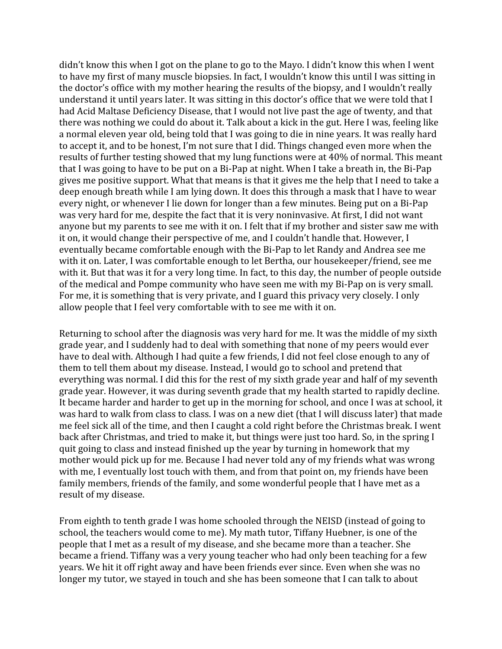didn't know this when I got on the plane to go to the Mayo. I didn't know this when I went to have my first of many muscle biopsies. In fact, I wouldn't know this until I was sitting in the doctor's office with my mother hearing the results of the biopsy, and I wouldn't really understand it until years later. It was sitting in this doctor's office that we were told that I had Acid Maltase Deficiency Disease, that I would not live past the age of twenty, and that there was nothing we could do about it. Talk about a kick in the gut. Here I was, feeling like a normal eleven year old, being told that I was going to die in nine years. It was really hard to accept it, and to be honest, I'm not sure that I did. Things changed even more when the results of further testing showed that my lung functions were at 40% of normal. This meant that I was going to have to be put on a Bi‐Pap at night. When I take a breath in, the Bi‐Pap gives me positive support. What that means is that it gives me the help that I need to take a deep enough breath while I am lying down. It does this through a mask that I have to wear every night, or whenever I lie down for longer than a few minutes. Being put on a Bi‐Pap was very hard for me, despite the fact that it is very noninvasive. At first, I did not want anyone but my parents to see me with it on. I felt that if my brother and sister saw me with it on, it would change their perspective of me, and I couldn't handle that. However, I eventually became comfortable enough with the Bi‐Pap to let Randy and Andrea see me with it on. Later, I was comfortable enough to let Bertha, our housekeeper/friend, see me with it. But that was it for a very long time. In fact, to this day, the number of people outside of the medical and Pompe community who have seen me with my Bi‐Pap on is very small. For me, it is something that is very private, and I guard this privacy very closely. I only allow people that I feel very comfortable with to see me with it on.

Returning to school after the diagnosis was very hard for me. It was the middle of my sixth grade year, and I suddenly had to deal with something that none of my peers would ever have to deal with. Although I had quite a few friends, I did not feel close enough to any of them to tell them about my disease. Instead, I would go to school and pretend that everything was normal. I did this for the rest of my sixth grade year and half of my seventh grade year. However, it was during seventh grade that my health started to rapidly decline. It became harder and harder to get up in the morning for school, and once I was at school, it was hard to walk from class to class. I was on a new diet (that I will discuss later) that made me feel sick all of the time, and then I caught a cold right before the Christmas break. I went back after Christmas, and tried to make it, but things were just too hard. So, in the spring I quit going to class and instead finished up the year by turning in homework that my mother would pick up for me. Because I had never told any of my friends what was wrong with me, I eventually lost touch with them, and from that point on, my friends have been family members, friends of the family, and some wonderful people that I have met as a result of my disease.

From eighth to tenth grade I was home schooled through the NEISD (instead of going to school, the teachers would come to me). My math tutor, Tiffany Huebner, is one of the people that I met as a result of my disease, and she became more than a teacher. She became a friend. Tiffany was a very young teacher who had only been teaching for a few years. We hit it off right away and have been friends ever since. Even when she was no longer my tutor, we stayed in touch and she has been someone that I can talk to about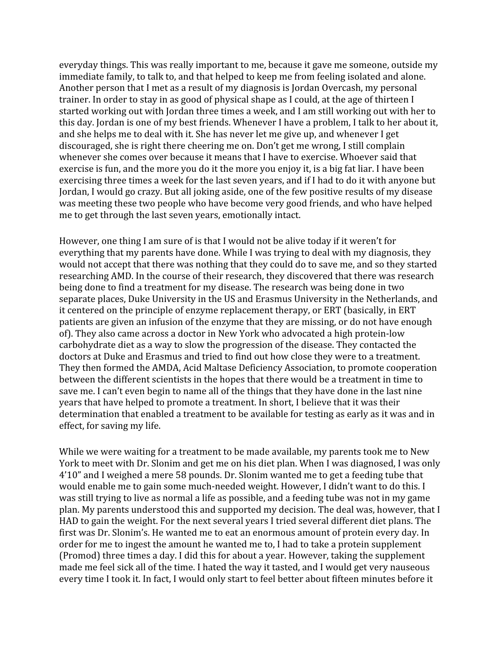everyday things. This was really important to me, because it gave me someone, outside my immediate family, to talk to, and that helped to keep me from feeling isolated and alone. Another person that I met as a result of my diagnosis is Jordan Overcash, my personal trainer. In order to stay in as good of physical shape as I could, at the age of thirteen I started working out with Jordan three times a week, and I am still working out with her to this day. Jordan is one of my best friends. Whenever I have a problem, I talk to her about it, and she helps me to deal with it. She has never let me give up, and whenever I get discouraged, she is right there cheering me on. Don't get me wrong, I still complain whenever she comes over because it means that I have to exercise. Whoever said that exercise is fun, and the more you do it the more you enjoy it, is a big fat liar. I have been exercising three times a week for the last seven years, and if I had to do it with anyone but Jordan, I would go crazy. But all joking aside, one of the few positive results of my disease was meeting these two people who have become very good friends, and who have helped me to get through the last seven years, emotionally intact.

However, one thing I am sure of is that I would not be alive today if it weren't for everything that my parents have done. While I was trying to deal with my diagnosis, they would not accept that there was nothing that they could do to save me, and so they started researching AMD. In the course of their research, they discovered that there was research being done to find a treatment for my disease. The research was being done in two separate places, Duke University in the US and Erasmus University in the Netherlands, and it centered on the principle of enzyme replacement therapy, or ERT (basically, in ERT patients are given an infusion of the enzyme that they are missing, or do not have enough of). They also came across a doctor in New York who advocated a high protein‐low carbohydrate diet as a way to slow the progression of the disease. They contacted the doctors at Duke and Erasmus and tried to find out how close they were to a treatment. They then formed the AMDA, Acid Maltase Deficiency Association, to promote cooperation between the different scientists in the hopes that there would be a treatment in time to save me. I can't even begin to name all of the things that they have done in the last nine years that have helped to promote a treatment. In short, I believe that it was their determination that enabled a treatment to be available for testing as early as it was and in effect, for saving my life.

While we were waiting for a treatment to be made available, my parents took me to New York to meet with Dr. Slonim and get me on his diet plan. When I was diagnosed, I was only 4'10" and I weighed a mere 58 pounds. Dr. Slonim wanted me to get a feeding tube that would enable me to gain some much‐needed weight. However, I didn't want to do this. I was still trying to live as normal a life as possible, and a feeding tube was not in my game plan. My parents understood this and supported my decision. The deal was, however, that I HAD to gain the weight. For the next several years I tried several different diet plans. The first was Dr. Slonim's. He wanted me to eat an enormous amount of protein every day. In order for me to ingest the amount he wanted me to, I had to take a protein supplement (Promod) three times a day. I did this for about a year. However, taking the supplement made me feel sick all of the time. I hated the way it tasted, and I would get very nauseous every time I took it. In fact, I would only start to feel better about fifteen minutes before it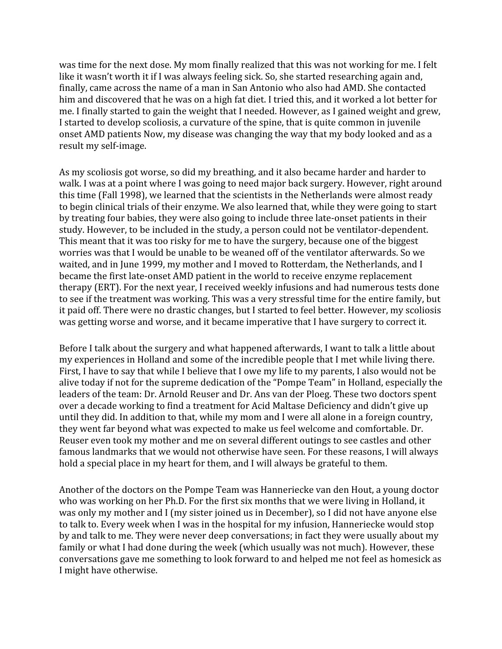was time for the next dose. My mom finally realized that this was not working for me. I felt like it wasn't worth it if I was always feeling sick. So, she started researching again and, finally, came across the name of a man in San Antonio who also had AMD. She contacted him and discovered that he was on a high fat diet. I tried this, and it worked a lot better for me. I finally started to gain the weight that I needed. However, as I gained weight and grew, I started to develop scoliosis, a curvature of the spine, that is quite common in juvenile onset AMD patients Now, my disease was changing the way that my body looked and as a result my self‐image.

As my scoliosis got worse, so did my breathing, and it also became harder and harder to walk. I was at a point where I was going to need major back surgery. However, right around this time (Fall 1998), we learned that the scientists in the Netherlands were almost ready to begin clinical trials of their enzyme. We also learned that, while they were going to start by treating four babies, they were also going to include three late‐onset patients in their study. However, to be included in the study, a person could not be ventilator‐dependent. This meant that it was too risky for me to have the surgery, because one of the biggest worries was that I would be unable to be weaned off of the ventilator afterwards. So we waited, and in June 1999, my mother and I moved to Rotterdam, the Netherlands, and I became the first late-onset AMD patient in the world to receive enzyme replacement therapy (ERT). For the next year, I received weekly infusions and had numerous tests done to see if the treatment was working. This was a very stressful time for the entire family, but it paid off. There were no drastic changes, but I started to feel better. However, my scoliosis was getting worse and worse, and it became imperative that I have surgery to correct it.

Before I talk about the surgery and what happened afterwards, I want to talk a little about my experiences in Holland and some of the incredible people that I met while living there. First, I have to say that while I believe that I owe my life to my parents, I also would not be alive today if not for the supreme dedication of the "Pompe Team" in Holland, especially the leaders of the team: Dr. Arnold Reuser and Dr. Ans van der Ploeg. These two doctors spent over a decade working to find a treatment for Acid Maltase Deficiency and didn't give up until they did. In addition to that, while my mom and I were all alone in a foreign country, they went far beyond what was expected to make us feel welcome and comfortable. Dr. Reuser even took my mother and me on several different outings to see castles and other famous landmarks that we would not otherwise have seen. For these reasons, I will always hold a special place in my heart for them, and I will always be grateful to them.

Another of the doctors on the Pompe Team was Hanneriecke van den Hout, a young doctor who was working on her Ph.D. For the first six months that we were living in Holland, it was only my mother and I (my sister joined us in December), so I did not have anyone else to talk to. Every week when I was in the hospital for my infusion, Hanneriecke would stop by and talk to me. They were never deep conversations; in fact they were usually about my family or what I had done during the week (which usually was not much). However, these conversations gave me something to look forward to and helped me not feel as homesick as I might have otherwise.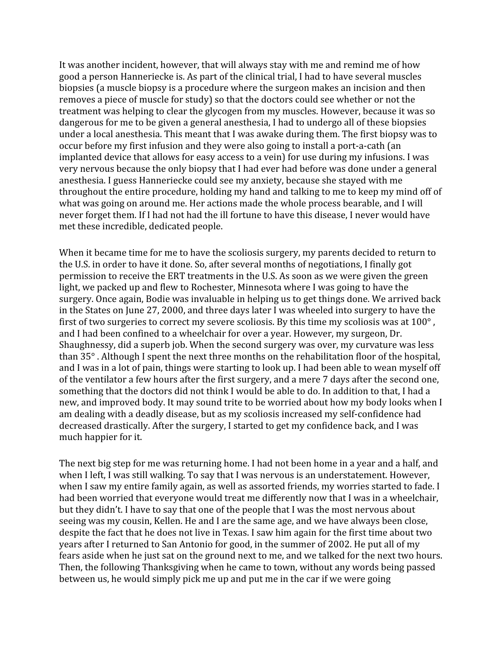It was another incident, however, that will always stay with me and remind me of how good a person Hanneriecke is. As part of the clinical trial, I had to have several muscles biopsies (a muscle biopsy is a procedure where the surgeon makes an incision and then removes a piece of muscle for study) so that the doctors could see whether or not the treatment was helping to clear the glycogen from my muscles. However, because it was so dangerous for me to be given a general anesthesia, I had to undergo all of these biopsies under a local anesthesia. This meant that I was awake during them. The first biopsy was to occur before my first infusion and they were also going to install a port‐a‐cath (an implanted device that allows for easy access to a vein) for use during my infusions. I was very nervous because the only biopsy that I had ever had before was done under a general anesthesia. I guess Hanneriecke could see my anxiety, because she stayed with me throughout the entire procedure, holding my hand and talking to me to keep my mind off of what was going on around me. Her actions made the whole process bearable, and I will never forget them. If I had not had the ill fortune to have this disease, I never would have met these incredible, dedicated people.

When it became time for me to have the scoliosis surgery, my parents decided to return to the U.S. in order to have it done. So, after several months of negotiations, I finally got permission to receive the ERT treatments in the U.S. As soon as we were given the green light, we packed up and flew to Rochester, Minnesota where I was going to have the surgery. Once again, Bodie was invaluable in helping us to get things done. We arrived back in the States on June 27, 2000, and three days later I was wheeled into surgery to have the first of two surgeries to correct my severe scoliosis. By this time my scoliosis was at  $100^{\circ}$ , and I had been confined to a wheelchair for over a year. However, my surgeon, Dr. Shaughnessy, did a superb job. When the second surgery was over, my curvature was less than 35° . Although I spent the next three months on the rehabilitation floor of the hospital, and I was in a lot of pain, things were starting to look up. I had been able to wean myself off of the ventilator a few hours after the first surgery, and a mere 7 days after the second one, something that the doctors did not think I would be able to do. In addition to that, I had a new, and improved body. It may sound trite to be worried about how my body looks when I am dealing with a deadly disease, but as my scoliosis increased my self‐confidence had decreased drastically. After the surgery, I started to get my confidence back, and I was much happier for it.

The next big step for me was returning home. I had not been home in a year and a half, and when I left, I was still walking. To say that I was nervous is an understatement. However, when I saw my entire family again, as well as assorted friends, my worries started to fade. I had been worried that everyone would treat me differently now that I was in a wheelchair, but they didn't. I have to say that one of the people that I was the most nervous about seeing was my cousin, Kellen. He and I are the same age, and we have always been close, despite the fact that he does not live in Texas. I saw him again for the first time about two years after I returned to San Antonio for good, in the summer of 2002. He put all of my fears aside when he just sat on the ground next to me, and we talked for the next two hours. Then, the following Thanksgiving when he came to town, without any words being passed between us, he would simply pick me up and put me in the car if we were going